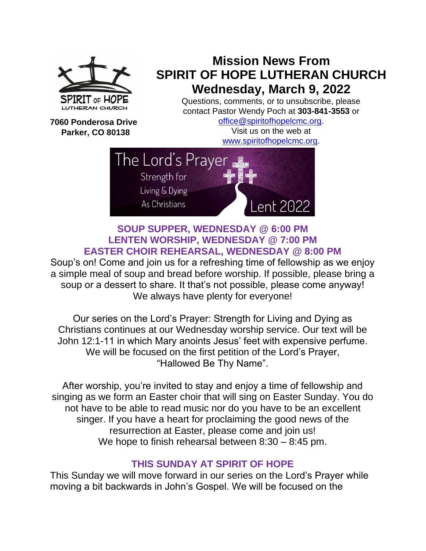

## **Mission News From SPIRIT OF HOPE LUTHERAN CHURCH Wednesday, March 9, 2022**

Questions, comments, or to unsubscribe, please contact Pastor Wendy Poch at **303-841-3553** or

**7060 Ponderosa Drive Parker, CO 80138**

[office@spiritofhopelcmc.org.](mailto:office@spiritofhopelcmc.org) Visit us on the web at [www.spiritofhopelcmc.org.](http://www.spiritofhopelcmc.org/)



## **SOUP SUPPER, WEDNESDAY @ 6:00 PM LENTEN WORSHIP, WEDNESDAY @ 7:00 PM EASTER CHOIR REHEARSAL, WEDNESDAY @ 8:00 PM**

Soup's on! Come and join us for a refreshing time of fellowship as we enjoy a simple meal of soup and bread before worship. If possible, please bring a soup or a dessert to share. It that's not possible, please come anyway! We always have plenty for everyone!

Our series on the Lord's Prayer: Strength for Living and Dying as Christians continues at our Wednesday worship service. Our text will be John 12:1-11 in which Mary anoints Jesus' feet with expensive perfume. We will be focused on the first petition of the Lord's Prayer, "Hallowed Be Thy Name".

After worship, you're invited to stay and enjoy a time of fellowship and singing as we form an Easter choir that will sing on Easter Sunday. You do not have to be able to read music nor do you have to be an excellent singer. If you have a heart for proclaiming the good news of the resurrection at Easter, please come and join us! We hope to finish rehearsal between 8:30 – 8:45 pm.

## **THIS SUNDAY AT SPIRIT OF HOPE**

This Sunday we will move forward in our series on the Lord's Prayer while moving a bit backwards in John's Gospel. We will be focused on the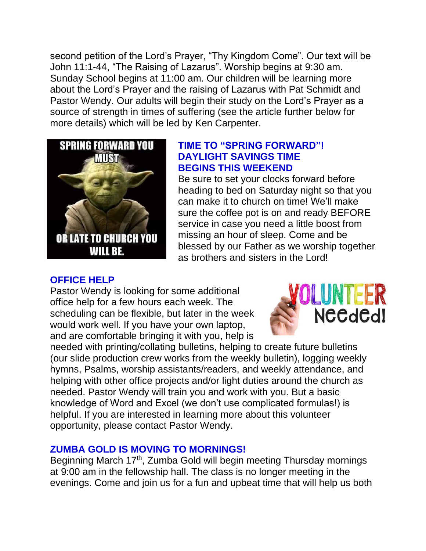second petition of the Lord's Prayer, "Thy Kingdom Come". Our text will be John 11:1-44, "The Raising of Lazarus". Worship begins at 9:30 am. Sunday School begins at 11:00 am. Our children will be learning more about the Lord's Prayer and the raising of Lazarus with Pat Schmidt and Pastor Wendy. Our adults will begin their study on the Lord's Prayer as a source of strength in times of suffering (see the article further below for more details) which will be led by Ken Carpenter.



## **TIME TO "SPRING FORWARD"! DAYLIGHT SAVINGS TIME BEGINS THIS WEEKEND**

Be sure to set your clocks forward before heading to bed on Saturday night so that you can make it to church on time! We'll make sure the coffee pot is on and ready BEFORE service in case you need a little boost from missing an hour of sleep. Come and be blessed by our Father as we worship together as brothers and sisters in the Lord!

## **OFFICE HELP**

Pastor Wendy is looking for some additional office help for a few hours each week. The scheduling can be flexible, but later in the week would work well. If you have your own laptop, and are comfortable bringing it with you, help is



needed with printing/collating bulletins, helping to create future bulletins (our slide production crew works from the weekly bulletin), logging weekly hymns, Psalms, worship assistants/readers, and weekly attendance, and helping with other office projects and/or light duties around the church as needed. Pastor Wendy will train you and work with you. But a basic knowledge of Word and Excel (we don't use complicated formulas!) is helpful. If you are interested in learning more about this volunteer opportunity, please contact Pastor Wendy.

## **ZUMBA GOLD IS MOVING TO MORNINGS!**

Beginning March 17<sup>th</sup>, Zumba Gold will begin meeting Thursday mornings at 9:00 am in the fellowship hall. The class is no longer meeting in the evenings. Come and join us for a fun and upbeat time that will help us both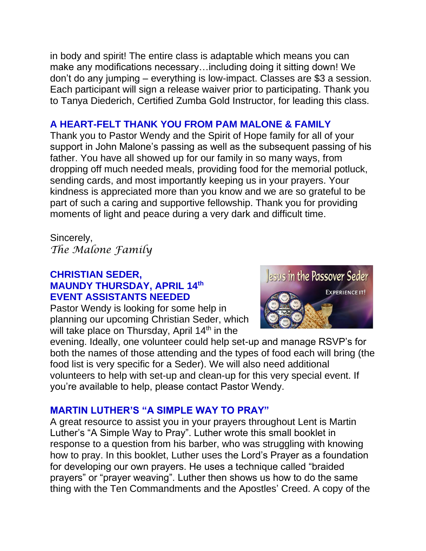in body and spirit! The entire class is adaptable which means you can make any modifications necessary…including doing it sitting down! We don't do any jumping – everything is low-impact. Classes are \$3 a session. Each participant will sign a release waiver prior to participating. Thank you to Tanya Diederich, Certified Zumba Gold Instructor, for leading this class.

## **A HEART-FELT THANK YOU FROM PAM MALONE & FAMILY**

Thank you to Pastor Wendy and the Spirit of Hope family for all of your support in John Malone's passing as well as the subsequent passing of his father. You have all showed up for our family in so many ways, from dropping off much needed meals, providing food for the memorial potluck, sending cards, and most importantly keeping us in your prayers. Your kindness is appreciated more than you know and we are so grateful to be part of such a caring and supportive fellowship. Thank you for providing moments of light and peace during a very dark and difficult time.

Sincerely, *The Malone Family*

## **CHRISTIAN SEDER, MAUNDY THURSDAY, APRIL 14th EVENT ASSISTANTS NEEDED**

Pastor Wendy is looking for some help in planning our upcoming Christian Seder, which will take place on Thursday, April 14<sup>th</sup> in the



evening. Ideally, one volunteer could help set-up and manage RSVP's for both the names of those attending and the types of food each will bring (the food list is very specific for a Seder). We will also need additional volunteers to help with set-up and clean-up for this very special event. If you're available to help, please contact Pastor Wendy.

## **MARTIN LUTHER'S "A SIMPLE WAY TO PRAY"**

A great resource to assist you in your prayers throughout Lent is Martin Luther's "A Simple Way to Pray". Luther wrote this small booklet in response to a question from his barber, who was struggling with knowing how to pray. In this booklet, Luther uses the Lord's Prayer as a foundation for developing our own prayers. He uses a technique called "braided prayers" or "prayer weaving". Luther then shows us how to do the same thing with the Ten Commandments and the Apostles' Creed. A copy of the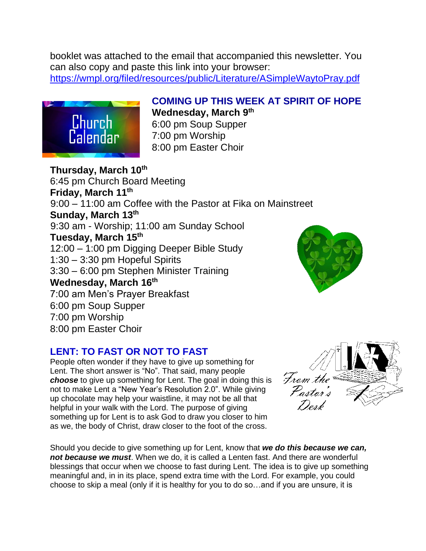booklet was attached to the email that accompanied this newsletter. You can also copy and paste this link into your browser: <https://wmpl.org/filed/resources/public/Literature/ASimpleWaytoPray.pdf>



## **COMING UP THIS WEEK AT SPIRIT OF HOPE Wednesday, March 9th**

6:00 pm Soup Supper 7:00 pm Worship 8:00 pm Easter Choir

**Thursday, March 10th** 6:45 pm Church Board Meeting **Friday, March 11th** 9:00 – 11:00 am Coffee with the Pastor at Fika on Mainstreet **Sunday, March 13th**  9:30 am - Worship; 11:00 am Sunday School **Tuesday, March 15th**  12:00 – 1:00 pm Digging Deeper Bible Study 1:30 – 3:30 pm Hopeful Spirits 3:30 – 6:00 pm Stephen Minister Training **Wednesday, March 16th** 7:00 am Men's Prayer Breakfast 6:00 pm Soup Supper 7:00 pm Worship 8:00 pm Easter Choir

## **LENT: TO FAST OR NOT TO FAST**

People often wonder if they have to give up something for Lent. The short answer is "No". That said, many people *choose* to give up something for Lent. The goal in doing this is not to make Lent a "New Year's Resolution 2.0". While giving up chocolate may help your waistline, it may not be all that helpful in your walk with the Lord. The purpose of giving something up for Lent is to ask God to draw you closer to him as we, the body of Christ, draw closer to the foot of the cross.

Should you decide to give something up for Lent, know that *we do this because we can, not because we must*. When we do, it is called a Lenten fast. And there are wonderful blessings that occur when we choose to fast during Lent. The idea is to give up something meaningful and, in in its place, spend extra time with the Lord. For example, you could choose to skip a meal (only if it is healthy for you to do so…and if you are unsure, it is



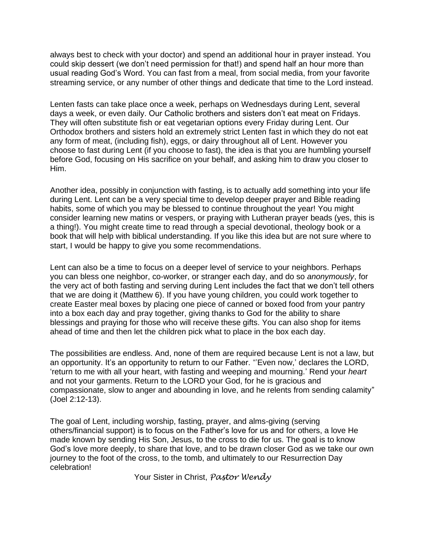always best to check with your doctor) and spend an additional hour in prayer instead. You could skip dessert (we don't need permission for that!) and spend half an hour more than usual reading God's Word. You can fast from a meal, from social media, from your favorite streaming service, or any number of other things and dedicate that time to the Lord instead.

Lenten fasts can take place once a week, perhaps on Wednesdays during Lent, several days a week, or even daily. Our Catholic brothers and sisters don't eat meat on Fridays. They will often substitute fish or eat vegetarian options every Friday during Lent. Our Orthodox brothers and sisters hold an extremely strict Lenten fast in which they do not eat any form of meat, (including fish), eggs, or dairy throughout all of Lent. However you choose to fast during Lent (if you choose to fast), the idea is that you are humbling yourself before God, focusing on His sacrifice on your behalf, and asking him to draw you closer to Him.

Another idea, possibly in conjunction with fasting, is to actually add something into your life during Lent. Lent can be a very special time to develop deeper prayer and Bible reading habits, some of which you may be blessed to continue throughout the year! You might consider learning new matins or vespers, or praying with Lutheran prayer beads (yes, this is a thing!). You might create time to read through a special devotional, theology book or a book that will help with biblical understanding. If you like this idea but are not sure where to start, I would be happy to give you some recommendations.

Lent can also be a time to focus on a deeper level of service to your neighbors. Perhaps you can bless one neighbor, co-worker, or stranger each day, and do so *anonymously*, for the very act of both fasting and serving during Lent includes the fact that we don't tell others that we are doing it (Matthew 6). If you have young children, you could work together to create Easter meal boxes by placing one piece of canned or boxed food from your pantry into a box each day and pray together, giving thanks to God for the ability to share blessings and praying for those who will receive these gifts. You can also shop for items ahead of time and then let the children pick what to place in the box each day.

The possibilities are endless. And, none of them are required because Lent is not a law, but an opportunity. It's an opportunity to return to our Father. "'Even now,' declares the LORD, 'return to me with all your heart, with fasting and weeping and mourning.' Rend your *heart*  and not your garments. Return to the LORD your God, for he is gracious and compassionate, slow to anger and abounding in love, and he relents from sending calamity" (Joel 2:12-13).

The goal of Lent, including worship, fasting, prayer, and alms-giving (serving others/financial support) is to focus on the Father's love for us and for others, a love He made known by sending His Son, Jesus, to the cross to die for us. The goal is to know God's love more deeply, to share that love, and to be drawn closer God as we take our own journey to the foot of the cross, to the tomb, and ultimately to our Resurrection Day celebration!

Your Sister in Christ, *Pastor Wendy*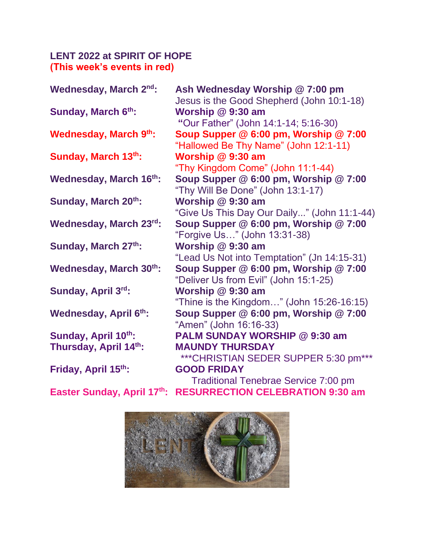## **LENT 2022 at SPIRIT OF HOPE (This week's events in red)**

| Wednesday, March 2nd:        | Ash Wednesday Worship @ 7:00 pm<br>Jesus is the Good Shepherd (John 10:1-18) |
|------------------------------|------------------------------------------------------------------------------|
| Sunday, March 6th:           | Worship @ 9:30 am                                                            |
|                              | "Our Father" (John 14:1-14; 5:16-30)                                         |
| <b>Wednesday, March 9th:</b> | Soup Supper @ 6:00 pm, Worship @ 7:00                                        |
|                              | "Hallowed Be Thy Name" (John 12:1-11)                                        |
| Sunday, March 13th:          | Worship @ 9:30 am                                                            |
|                              | "Thy Kingdom Come" (John 11:1-44)                                            |
| Wednesday, March 16th:       | Soup Supper @ 6:00 pm, Worship @ 7:00                                        |
|                              | "Thy Will Be Done" (John 13:1-17)                                            |
| Sunday, March 20th:          | Worship @ 9:30 am                                                            |
|                              | "Give Us This Day Our Daily" (John 11:1-44)                                  |
| Wednesday, March 23rd:       | Soup Supper @ 6:00 pm, Worship @ 7:00                                        |
|                              | "Forgive Us" (John 13:31-38)                                                 |
| Sunday, March 27th:          | Worship @ 9:30 am                                                            |
|                              | "Lead Us Not into Temptation" (Jn 14:15-31)                                  |
| Wednesday, March 30th:       | Soup Supper @ 6:00 pm, Worship @ 7:00                                        |
|                              | "Deliver Us from Evil" (John 15:1-25)                                        |
| Sunday, April 3rd:           | Worship @ 9:30 am                                                            |
|                              | "Thine is the Kingdom" (John $15:26-16:15$ )                                 |
| Wednesday, April 6th:        | Soup Supper @ 6:00 pm, Worship @ 7:00                                        |
|                              | "Amen" (John 16:16-33)                                                       |
| Sunday, April 10th:          | <b>PALM SUNDAY WORSHIP @ 9:30 am</b>                                         |
| Thursday, April 14th:        | <b>MAUNDY THURSDAY</b>                                                       |
|                              | *** CHRISTIAN SEDER SUPPER 5:30 pm***                                        |
| Friday, April 15th:          | <b>GOOD FRIDAY</b>                                                           |
|                              | <b>Traditional Tenebrae Service 7:00 pm</b>                                  |
| Easter Sunday, April 17th:   | <b>RESURRECTION CELEBRATION 9:30 am</b>                                      |

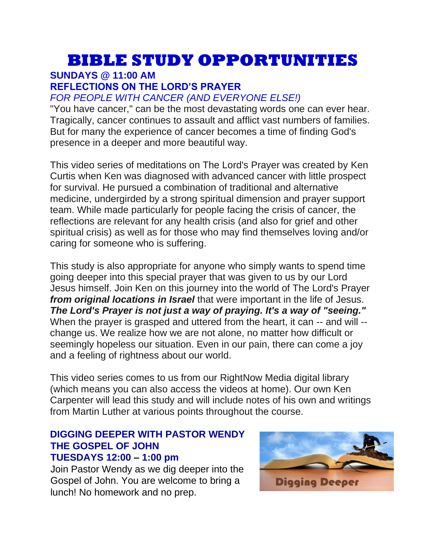# **BIBLE STUDY OPPORTUNITIES**

## **SUNDAYS @ 11:00 AM**

#### **REFLECTIONS ON THE LORD'S PRAYER**

#### *FOR PEOPLE WITH CANCER (AND EVERYONE ELSE!)*

"You have cancer," can be the most devastating words one can ever hear. Tragically, cancer continues to assault and afflict vast numbers of families. But for many the experience of cancer becomes a time of finding God's presence in a deeper and more beautiful way.

This video series of meditations on The Lord's Prayer was created by Ken Curtis when Ken was diagnosed with advanced cancer with little prospect for survival. He pursued a combination of traditional and alternative medicine, undergirded by a strong spiritual dimension and prayer support team. While made particularly for people facing the crisis of cancer, the reflections are relevant for any health crisis (and also for grief and other spiritual crisis) as well as for those who may find themselves loving and/or caring for someone who is suffering.

This study is also appropriate for anyone who simply wants to spend time going deeper into this special prayer that was given to us by our Lord Jesus himself. Join Ken on this journey into the world of The Lord's Prayer *from original locations in Israel* that were important in the life of Jesus. *The Lord's Prayer is not just a way of praying. It's a way of "seeing."* When the prayer is grasped and uttered from the heart, it can -- and will -change us. We realize how we are not alone, no matter how difficult or seemingly hopeless our situation. Even in our pain, there can come a joy and a feeling of rightness about our world.

This video series comes to us from our RightNow Media digital library (which means you can also access the videos at home). Our own Ken Carpenter will lead this study and will include notes of his own and writings from Martin Luther at various points throughout the course.

#### **DIGGING DEEPER WITH PASTOR WENDY THE GOSPEL OF JOHN TUESDAYS 12:00 – 1:00 pm**

Join Pastor Wendy as we dig deeper into the Gospel of John. You are welcome to bring a lunch! No homework and no prep.

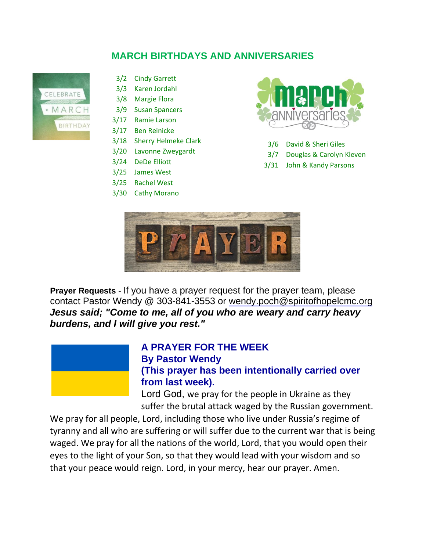## **MARCH BIRTHDAYS AND ANNIVERSARIES**



- 3/2 Cindy Garrett
- 3/3 Karen Jordahl
- 3/8 Margie Flora
- 3/9 Susan Spancers
- 3/17 Ramie Larson
- 3/17 Ben Reinicke
- 3/18 Sherry Helmeke Clark
- 3/20 Lavonne Zweygardt
- 3/24 DeDe Elliott
- 3/25 James West
- 3/25 Rachel West
- 3/30 Cathy Morano



- 3/6 David & Sheri Giles
- 3/7 Douglas & Carolyn Kleven
- 3/31 John & Kandy Parsons



**Prayer Requests** - If you have a prayer request for the prayer team, please contact Pastor Wendy @ 303-841-3553 or wendy.poch@spiritofhopelcmc.org *Jesus said; "Come to me, all of you who are weary and carry heavy burdens, and I will give you rest."*

![](_page_7_Picture_20.jpeg)

## **A PRAYER FOR THE WEEK By Pastor Wendy**

**(This prayer has been intentionally carried over from last week).**

Lord God, we pray for the people in Ukraine as they suffer the brutal attack waged by the Russian government.

We pray for all people, Lord, including those who live under Russia's regime of tyranny and all who are suffering or will suffer due to the current war that is being waged. We pray for all the nations of the world, Lord, that you would open their eyes to the light of your Son, so that they would lead with your wisdom and so that your peace would reign. Lord, in your mercy, hear our prayer. Amen.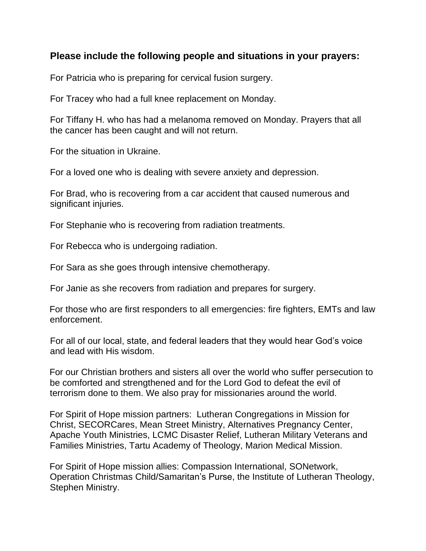#### **Please include the following people and situations in your prayers:**

For Patricia who is preparing for cervical fusion surgery.

For Tracey who had a full knee replacement on Monday.

For Tiffany H. who has had a melanoma removed on Monday. Prayers that all the cancer has been caught and will not return.

For the situation in Ukraine.

For a loved one who is dealing with severe anxiety and depression.

For Brad, who is recovering from a car accident that caused numerous and significant injuries.

For Stephanie who is recovering from radiation treatments.

For Rebecca who is undergoing radiation.

For Sara as she goes through intensive chemotherapy.

For Janie as she recovers from radiation and prepares for surgery.

For those who are first responders to all emergencies: fire fighters, EMTs and law enforcement.

For all of our local, state, and federal leaders that they would hear God's voice and lead with His wisdom.

For our Christian brothers and sisters all over the world who suffer persecution to be comforted and strengthened and for the Lord God to defeat the evil of terrorism done to them. We also pray for missionaries around the world.

For Spirit of Hope mission partners: Lutheran Congregations in Mission for Christ, SECORCares, Mean Street Ministry, Alternatives Pregnancy Center, Apache Youth Ministries, LCMC Disaster Relief, Lutheran Military Veterans and Families Ministries, Tartu Academy of Theology, Marion Medical Mission.

For Spirit of Hope mission allies: Compassion International, SONetwork, Operation Christmas Child/Samaritan's Purse, the Institute of Lutheran Theology, Stephen Ministry.